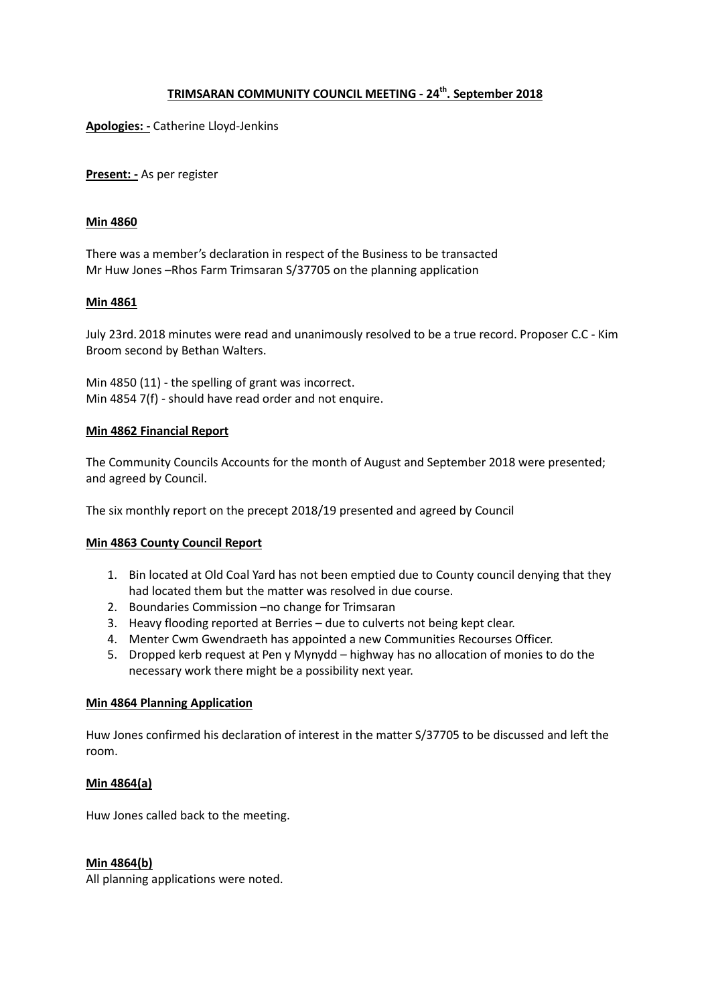# **TRIMSARAN COMMUNITY COUNCIL MEETING - 24th. September 2018**

**Apologies: -** Catherine Lloyd-Jenkins

**Present: -** As per register

#### **Min 4860**

There was a member's declaration in respect of the Business to be transacted Mr Huw Jones –Rhos Farm Trimsaran S/37705 on the planning application

## **Min 4861**

July 23rd. 2018 minutes were read and unanimously resolved to be a true record. Proposer C.C - Kim Broom second by Bethan Walters.

Min 4850 (11) - the spelling of grant was incorrect. Min 4854 7(f) - should have read order and not enquire.

#### **Min 4862 Financial Report**

The Community Councils Accounts for the month of August and September 2018 were presented; and agreed by Council.

The six monthly report on the precept 2018/19 presented and agreed by Council

#### **Min 4863 County Council Report**

- 1. Bin located at Old Coal Yard has not been emptied due to County council denying that they had located them but the matter was resolved in due course.
- 2. Boundaries Commission –no change for Trimsaran
- 3. Heavy flooding reported at Berries due to culverts not being kept clear.
- 4. Menter Cwm Gwendraeth has appointed a new Communities Recourses Officer.
- 5. Dropped kerb request at Pen y Mynydd highway has no allocation of monies to do the necessary work there might be a possibility next year.

#### **Min 4864 Planning Application**

Huw Jones confirmed his declaration of interest in the matter S/37705 to be discussed and left the room.

## **Min 4864(a)**

Huw Jones called back to the meeting.

#### **Min 4864(b)**

All planning applications were noted.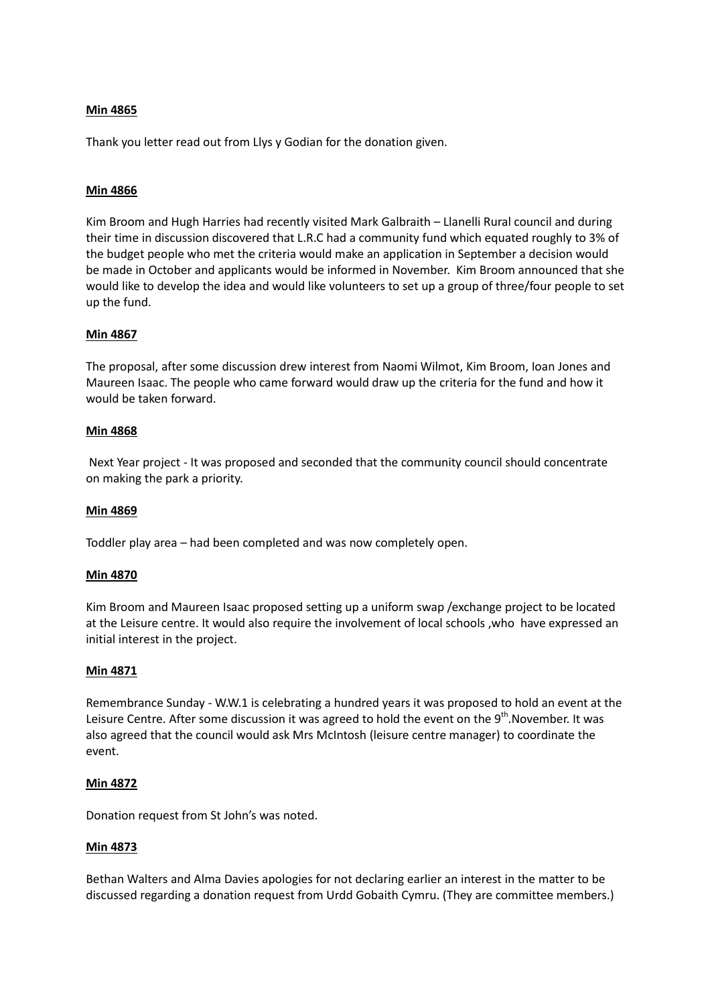## **Min 4865**

Thank you letter read out from Llys y Godian for the donation given.

## **Min 4866**

Kim Broom and Hugh Harries had recently visited Mark Galbraith – Llanelli Rural council and during their time in discussion discovered that L.R.C had a community fund which equated roughly to 3% of the budget people who met the criteria would make an application in September a decision would be made in October and applicants would be informed in November. Kim Broom announced that she would like to develop the idea and would like volunteers to set up a group of three/four people to set up the fund.

## **Min 4867**

The proposal, after some discussion drew interest from Naomi Wilmot, Kim Broom, Ioan Jones and Maureen Isaac. The people who came forward would draw up the criteria for the fund and how it would be taken forward.

#### **Min 4868**

 Next Year project - It was proposed and seconded that the community council should concentrate on making the park a priority.

#### **Min 4869**

Toddler play area – had been completed and was now completely open.

#### **Min 4870**

Kim Broom and Maureen Isaac proposed setting up a uniform swap /exchange project to be located at the Leisure centre. It would also require the involvement of local schools ,who have expressed an initial interest in the project.

#### **Min 4871**

Remembrance Sunday - W.W.1 is celebrating a hundred years it was proposed to hold an event at the Leisure Centre. After some discussion it was agreed to hold the event on the  $9<sup>th</sup>$ .November. It was also agreed that the council would ask Mrs McIntosh (leisure centre manager) to coordinate the event.

#### **Min 4872**

Donation request from St John's was noted.

#### **Min 4873**

Bethan Walters and Alma Davies apologies for not declaring earlier an interest in the matter to be discussed regarding a donation request from Urdd Gobaith Cymru. (They are committee members.)